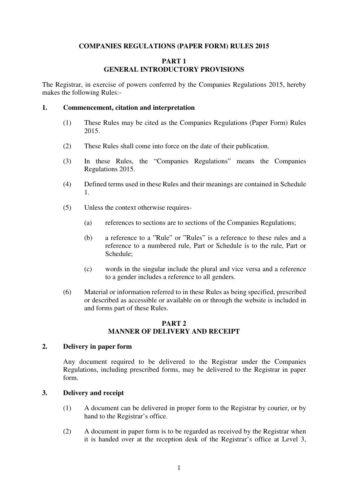### **COMPANIES REGULATIONS (PAPER FORM) RULES 2015**

### **PART 1 GENERAL INTRODUCTORY PROVISIONS**

The Registrar, in exercise of powers conferred by the Companies Regulations 2015, hereby makes the following Rules:-

#### **1. Commencement, citation and interpretation**

- (1) These Rules may be cited as the Companies Regulations (Paper Form) Rules 2015.
- (2) These Rules shall come into force on the date of their publication.
- (3) In these Rules, the "Companies Regulations" means the Companies Regulations 2015.
- (4) Defined terms used in these Rules and their meanings are contained in Schedule 1.
- (5) Unless the context otherwise requires-
	- (a) references to sections are to sections of the Companies Regulations;
	- (b) a reference to a "Rule" or "Rules" is a reference to these rules and a reference to a numbered rule, Part or Schedule is to the rule, Part or Schedule;
	- (c) words in the singular include the plural and vice versa and a reference to a gender includes a reference to all genders.
- (6) Material or information referred to in these Rules as being specified, prescribed or described as accessible or available on or through the website is included in and forms part of these Rules.

### **PART 2 MANNER OF DELIVERY AND RECEIPT**

### **2. Delivery in paper form**

Any document required to be delivered to the Registrar under the Companies Regulations, including prescribed forms, may be delivered to the Registrar in paper form.

#### **3. Delivery and receipt**

- (1) A document can be delivered in proper form to the Registrar by courier, or by hand to the Registrar's office.
- (2) A document in paper form is to be regarded as received by the Registrar when it is handed over at the reception desk of the Registrar's office at Level 3,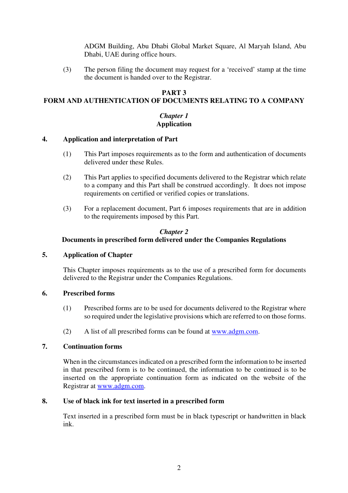ADGM Building, Abu Dhabi Global Market Square, Al Maryah Island, Abu Dhabi, UAE during office hours.

(3) The person filing the document may request for a 'received' stamp at the time the document is handed over to the Registrar.

# **PART 3**

# **FORM AND AUTHENTICATION OF DOCUMENTS RELATING TO A COMPANY**

### *Chapter 1* **Application**

### **4. Application and interpretation of Part**

- (1) This Part imposes requirements as to the form and authentication of documents delivered under these Rules.
- (2) This Part applies to specified documents delivered to the Registrar which relate to a company and this Part shall be construed accordingly. It does not impose requirements on certified or verified copies or translations.
- (3) For a replacement document, Part 6 imposes requirements that are in addition to the requirements imposed by this Part.

### *Chapter 2*

### **Documents in prescribed form delivered under the Companies Regulations**

### **5. Application of Chapter**

This Chapter imposes requirements as to the use of a prescribed form for documents delivered to the Registrar under the Companies Regulations.

### **6. Prescribed forms**

- (1) Prescribed forms are to be used for documents delivered to the Registrar where so required under the legislative provisions which are referred to on those forms.
- (2) A list of all prescribed forms can be found at www.adgm.com.

### **7. Continuation forms**

When in the circumstances indicated on a prescribed form the information to be inserted in that prescribed form is to be continued, the information to be continued is to be inserted on the appropriate continuation form as indicated on the website of the Registrar at www.adgm.com.

### **8. Use of black ink for text inserted in a prescribed form**

Text inserted in a prescribed form must be in black typescript or handwritten in black ink.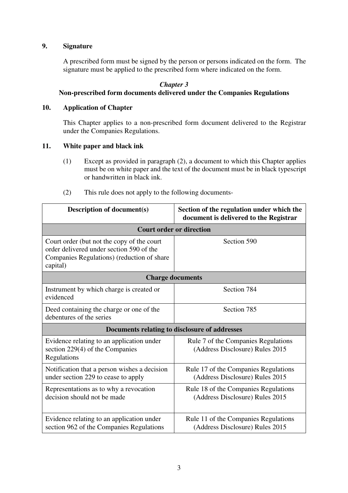### **9. Signature**

A prescribed form must be signed by the person or persons indicated on the form. The signature must be applied to the prescribed form where indicated on the form.

### *Chapter 3*

## **Non-prescribed form documents delivered under the Companies Regulations**

### **10. Application of Chapter**

This Chapter applies to a non-prescribed form document delivered to the Registrar under the Companies Regulations.

### **11. White paper and black ink**

- (1) Except as provided in paragraph (2), a document to which this Chapter applies must be on white paper and the text of the document must be in black typescript or handwritten in black ink.
- (2) This rule does not apply to the following documents-

| <b>Description of document(s)</b>                                                                                                                | Section of the regulation under which the<br>document is delivered to the Registrar |  |
|--------------------------------------------------------------------------------------------------------------------------------------------------|-------------------------------------------------------------------------------------|--|
| <b>Court order or direction</b>                                                                                                                  |                                                                                     |  |
| Court order (but not the copy of the court<br>order delivered under section 590 of the<br>Companies Regulations) (reduction of share<br>capital) | Section 590                                                                         |  |
| <b>Charge documents</b>                                                                                                                          |                                                                                     |  |
| Instrument by which charge is created or<br>evidenced                                                                                            | Section 784                                                                         |  |
| Deed containing the charge or one of the<br>debentures of the series                                                                             | Section 785                                                                         |  |
| Documents relating to disclosure of addresses                                                                                                    |                                                                                     |  |
| Evidence relating to an application under<br>section 229(4) of the Companies<br>Regulations                                                      | Rule 7 of the Companies Regulations<br>(Address Disclosure) Rules 2015              |  |
| Notification that a person wishes a decision<br>under section 229 to cease to apply                                                              | Rule 17 of the Companies Regulations<br>(Address Disclosure) Rules 2015             |  |
| Representations as to why a revocation<br>decision should not be made                                                                            | Rule 18 of the Companies Regulations<br>(Address Disclosure) Rules 2015             |  |
| Evidence relating to an application under<br>section 962 of the Companies Regulations                                                            | Rule 11 of the Companies Regulations<br>(Address Disclosure) Rules 2015             |  |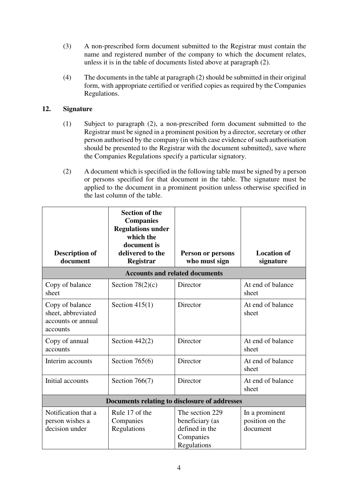- (3) A non-prescribed form document submitted to the Registrar must contain the name and registered number of the company to which the document relates, unless it is in the table of documents listed above at paragraph (2).
- (4) The documents in the table at paragraph (2) should be submitted in their original form, with appropriate certified or verified copies as required by the Companies Regulations.

### **12. Signature**

- (1) Subject to paragraph (2), a non-prescribed form document submitted to the Registrar must be signed in a prominent position by a director, secretary or other person authorised by the company (in which case evidence of such authorisation should be presented to the Registrar with the document submitted), save where the Companies Regulations specify a particular signatory.
- (2) A document which is specified in the following table must be signed by a person or persons specified for that document in the table. The signature must be applied to the document in a prominent position unless otherwise specified in the last column of the table.

| <b>Description of</b><br>document                                       | <b>Section of the</b><br><b>Companies</b><br><b>Regulations under</b><br>which the<br>document is<br>delivered to the<br>Registrar | Person or persons<br>who must sign                                               | <b>Location of</b><br>signature               |
|-------------------------------------------------------------------------|------------------------------------------------------------------------------------------------------------------------------------|----------------------------------------------------------------------------------|-----------------------------------------------|
| <b>Accounts and related documents</b>                                   |                                                                                                                                    |                                                                                  |                                               |
| Copy of balance<br>sheet                                                | Section $78(2)(c)$                                                                                                                 | Director                                                                         | At end of balance<br>sheet                    |
| Copy of balance<br>sheet, abbreviated<br>accounts or annual<br>accounts | Section $415(1)$                                                                                                                   | Director                                                                         | At end of balance<br>sheet                    |
| Copy of annual<br>accounts                                              | Section $442(2)$                                                                                                                   | Director                                                                         | At end of balance<br>sheet                    |
| Interim accounts                                                        | Section $765(6)$                                                                                                                   | Director                                                                         | At end of balance<br>sheet                    |
| Initial accounts                                                        | Section $766(7)$                                                                                                                   | Director                                                                         | At end of balance<br>sheet                    |
| Documents relating to disclosure of addresses                           |                                                                                                                                    |                                                                                  |                                               |
| Notification that a<br>person wishes a<br>decision under                | Rule 17 of the<br>Companies<br>Regulations                                                                                         | The section 229<br>beneficiary (as<br>defined in the<br>Companies<br>Regulations | In a prominent<br>position on the<br>document |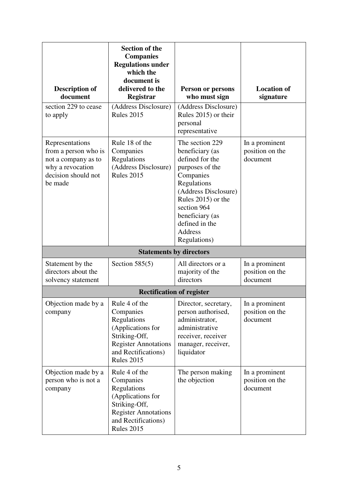| <b>Description of</b><br>document                                                                                    | <b>Section of the</b><br><b>Companies</b><br><b>Regulations under</b><br>which the<br>document is<br>delivered to the<br>Registrar                         | <b>Person or persons</b><br>who must sign                                                                                                                                                                                                | <b>Location of</b><br>signature               |
|----------------------------------------------------------------------------------------------------------------------|------------------------------------------------------------------------------------------------------------------------------------------------------------|------------------------------------------------------------------------------------------------------------------------------------------------------------------------------------------------------------------------------------------|-----------------------------------------------|
| section 229 to cease<br>to apply                                                                                     | (Address Disclosure)<br><b>Rules 2015</b>                                                                                                                  | (Address Disclosure)<br>Rules 2015) or their<br>personal<br>representative                                                                                                                                                               |                                               |
| Representations<br>from a person who is<br>not a company as to<br>why a revocation<br>decision should not<br>be made | Rule 18 of the<br>Companies<br>Regulations<br>(Address Disclosure)<br><b>Rules 2015</b>                                                                    | The section 229<br>beneficiary (as<br>defined for the<br>purposes of the<br>Companies<br>Regulations<br>(Address Disclosure)<br>Rules 2015) or the<br>section 964<br>beneficiary (as<br>defined in the<br><b>Address</b><br>Regulations) | In a prominent<br>position on the<br>document |
|                                                                                                                      |                                                                                                                                                            | <b>Statements by directors</b>                                                                                                                                                                                                           |                                               |
| Statement by the<br>directors about the<br>solvency statement                                                        | Section $585(5)$                                                                                                                                           | All directors or a<br>majority of the<br>directors                                                                                                                                                                                       | In a prominent<br>position on the<br>document |
| <b>Rectification of register</b>                                                                                     |                                                                                                                                                            |                                                                                                                                                                                                                                          |                                               |
| Objection made by a<br>company                                                                                       | Rule 4 of the<br>Companies<br>Regulations<br>(Applications for<br>Striking-Off,<br><b>Register Annotations</b><br>and Rectifications)<br><b>Rules 2015</b> | Director, secretary,<br>person authorised,<br>administrator,<br>administrative<br>receiver, receiver<br>manager, receiver,<br>liquidator                                                                                                 | In a prominent<br>position on the<br>document |
| Objection made by a<br>person who is not a<br>company                                                                | Rule 4 of the<br>Companies<br>Regulations<br>(Applications for<br>Striking-Off,<br><b>Register Annotations</b><br>and Rectifications)<br><b>Rules 2015</b> | The person making<br>the objection                                                                                                                                                                                                       | In a prominent<br>position on the<br>document |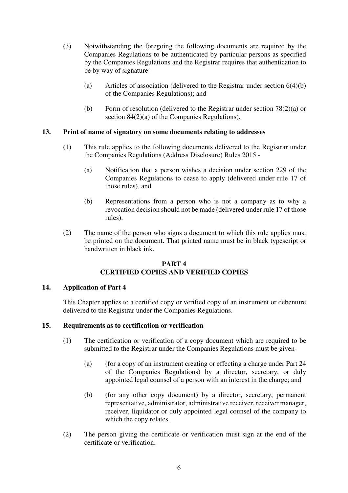- (3) Notwithstanding the foregoing the following documents are required by the Companies Regulations to be authenticated by particular persons as specified by the Companies Regulations and the Registrar requires that authentication to be by way of signature-
	- (a) Articles of association (delivered to the Registrar under section 6(4)(b) of the Companies Regulations); and
	- (b) Form of resolution (delivered to the Registrar under section 78(2)(a) or section 84(2)(a) of the Companies Regulations).

### **13. Print of name of signatory on some documents relating to addresses**

- (1) This rule applies to the following documents delivered to the Registrar under the Companies Regulations (Address Disclosure) Rules 2015 -
	- (a) Notification that a person wishes a decision under section 229 of the Companies Regulations to cease to apply (delivered under rule 17 of those rules), and
	- (b) Representations from a person who is not a company as to why a revocation decision should not be made (delivered under rule 17 of those rules).
- (2) The name of the person who signs a document to which this rule applies must be printed on the document. That printed name must be in black typescript or handwritten in black ink.

### **PART 4 CERTIFIED COPIES AND VERIFIED COPIES**

### **14. Application of Part 4**

This Chapter applies to a certified copy or verified copy of an instrument or debenture delivered to the Registrar under the Companies Regulations.

### **15. Requirements as to certification or verification**

- (1) The certification or verification of a copy document which are required to be submitted to the Registrar under the Companies Regulations must be given-
	- (a) (for a copy of an instrument creating or effecting a charge under Part 24 of the Companies Regulations) by a director, secretary, or duly appointed legal counsel of a person with an interest in the charge; and
	- (b) (for any other copy document) by a director, secretary, permanent representative, administrator, administrative receiver, receiver manager, receiver, liquidator or duly appointed legal counsel of the company to which the copy relates.
- (2) The person giving the certificate or verification must sign at the end of the certificate or verification.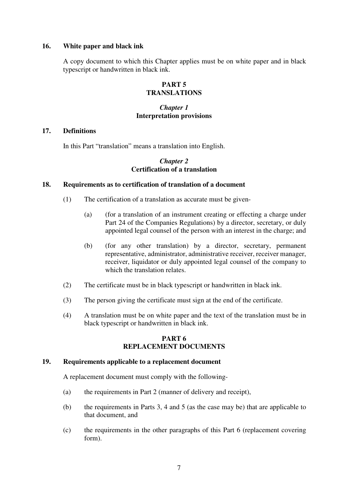### **16. White paper and black ink**

A copy document to which this Chapter applies must be on white paper and in black typescript or handwritten in black ink.

## **PART 5 TRANSLATIONS**

### *Chapter 1* **Interpretation provisions**

### **17. Definitions**

In this Part "translation" means a translation into English.

### *Chapter 2* **Certification of a translation**

### **18. Requirements as to certification of translation of a document**

- (1) The certification of a translation as accurate must be given-
	- (a) (for a translation of an instrument creating or effecting a charge under Part 24 of the Companies Regulations) by a director, secretary, or duly appointed legal counsel of the person with an interest in the charge; and
	- (b) (for any other translation) by a director, secretary, permanent representative, administrator, administrative receiver, receiver manager, receiver, liquidator or duly appointed legal counsel of the company to which the translation relates.
- (2) The certificate must be in black typescript or handwritten in black ink.
- (3) The person giving the certificate must sign at the end of the certificate.
- (4) A translation must be on white paper and the text of the translation must be in black typescript or handwritten in black ink.

### **PART 6 REPLACEMENT DOCUMENTS**

#### **19. Requirements applicable to a replacement document**

A replacement document must comply with the following-

- (a) the requirements in Part 2 (manner of delivery and receipt),
- (b) the requirements in Parts 3, 4 and 5 (as the case may be) that are applicable to that document, and
- (c) the requirements in the other paragraphs of this Part 6 (replacement covering form).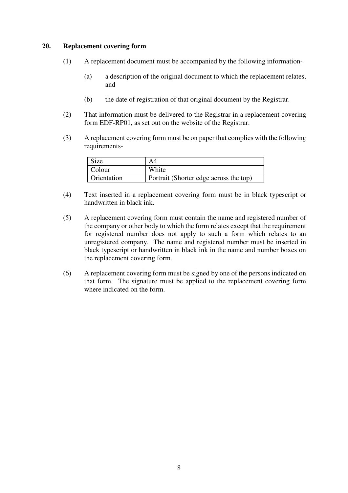### **20. Replacement covering form**

- (1) A replacement document must be accompanied by the following information-
	- (a) a description of the original document to which the replacement relates, and
	- (b) the date of registration of that original document by the Registrar.
- (2) That information must be delivered to the Registrar in a replacement covering form EDF-RP01, as set out on the website of the Registrar.
- (3) A replacement covering form must be on paper that complies with the following requirements-

| <b>Size</b> | A4                                     |
|-------------|----------------------------------------|
| Colour      | White                                  |
| Orientation | Portrait (Shorter edge across the top) |

- (4) Text inserted in a replacement covering form must be in black typescript or handwritten in black ink.
- (5) A replacement covering form must contain the name and registered number of the company or other body to which the form relates except that the requirement for registered number does not apply to such a form which relates to an unregistered company. The name and registered number must be inserted in black typescript or handwritten in black ink in the name and number boxes on the replacement covering form.
- (6) A replacement covering form must be signed by one of the persons indicated on that form. The signature must be applied to the replacement covering form where indicated on the form.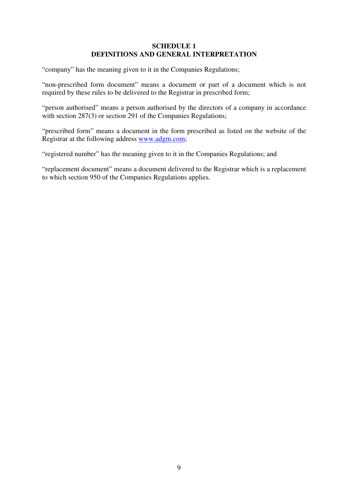### **SCHEDULE 1 DEFINITIONS AND GENERAL INTERPRETATION**

"company" has the meaning given to it in the Companies Regulations;

"non-prescribed form document" means a document or part of a document which is not required by these rules to be delivered to the Registrar in prescribed form;

"person authorised" means a person authorised by the directors of a company in accordance with section 287(3) or section 291 of the Companies Regulations;

"prescribed form" means a document in the form prescribed as listed on the website of the Registrar at the following address www.adgm.com;

"registered number" has the meaning given to it in the Companies Regulations; and

"replacement document" means a document delivered to the Registrar which is a replacement to which section 950 of the Companies Regulations applies.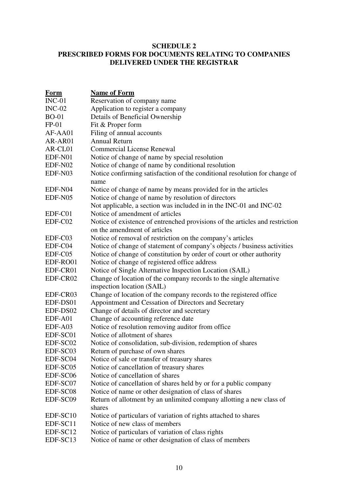### **SCHEDULE 2 PRESCRIBED FORMS FOR DOCUMENTS RELATING TO COMPANIES DELIVERED UNDER THE REGISTRAR**

| <u>Form</u>          | <b>Name of Form</b>                                                                |
|----------------------|------------------------------------------------------------------------------------|
| $INC-01$             | Reservation of company name                                                        |
| $INC-02$             | Application to register a company                                                  |
| <b>BO-01</b>         | Details of Beneficial Ownership                                                    |
| $FP-01$              | Fit & Proper form                                                                  |
| AF-AA01              | Filing of annual accounts                                                          |
| AR-AR01              | <b>Annual Return</b>                                                               |
| AR-CL01              | <b>Commercial License Renewal</b>                                                  |
| EDF-N01              | Notice of change of name by special resolution                                     |
| EDF-N02              | Notice of change of name by conditional resolution                                 |
| EDF-N03              | Notice confirming satisfaction of the conditional resolution for change of<br>name |
| EDF-N04              | Notice of change of name by means provided for in the articles                     |
| EDF-N05              | Notice of change of name by resolution of directors                                |
|                      | Not applicable, a section was included in in the INC-01 and INC-02                 |
| EDF-C01              | Notice of amendment of articles                                                    |
| EDF-C02              | Notice of existence of entrenched provisions of the articles and restriction       |
|                      | on the amendment of articles                                                       |
| EDF-C03              | Notice of removal of restriction on the company's articles                         |
| EDF-C04              | Notice of change of statement of company's objects / business activities           |
| EDF-C05              | Notice of change of constitution by order of court or other authority              |
| EDF-RO01             | Notice of change of registered office address                                      |
| EDF-CR01             | Notice of Single Alternative Inspection Location (SAIL)                            |
| EDF-CR02             | Change of location of the company records to the single alternative                |
|                      | inspection location (SAIL)                                                         |
| EDF-CR03             | Change of location of the company records to the registered office                 |
| EDF-DS01             | Appointment and Cessation of Directors and Secretary                               |
| EDF-DS02             | Change of details of director and secretary                                        |
| EDF-A01              | Change of accounting reference date                                                |
| EDF-A03              | Notice of resolution removing auditor from office                                  |
| EDF-SC01             | Notice of allotment of shares                                                      |
| EDF-SC02             | Notice of consolidation, sub-division, redemption of shares                        |
| EDF-SC03             | Return of purchase of own shares                                                   |
| EDF-SC04             | Notice of sale or transfer of treasury shares                                      |
| EDF-SC05             | Notice of cancellation of treasury shares                                          |
| EDF-SC06             | Notice of cancellation of shares                                                   |
| EDF-SC07             | Notice of cancellation of shares held by or for a public company                   |
| EDF-SC08             | Notice of name or other designation of class of shares                             |
| EDF-SC09             | Return of allotment by an unlimited company allotting a new class of               |
|                      | shares                                                                             |
| EDF-SC <sub>10</sub> | Notice of particulars of variation of rights attached to shares                    |
| EDF-SC11             | Notice of new class of members                                                     |
| EDF-SC12             | Notice of particulars of variation of class rights                                 |
| EDF-SC13             | Notice of name or other designation of class of members                            |